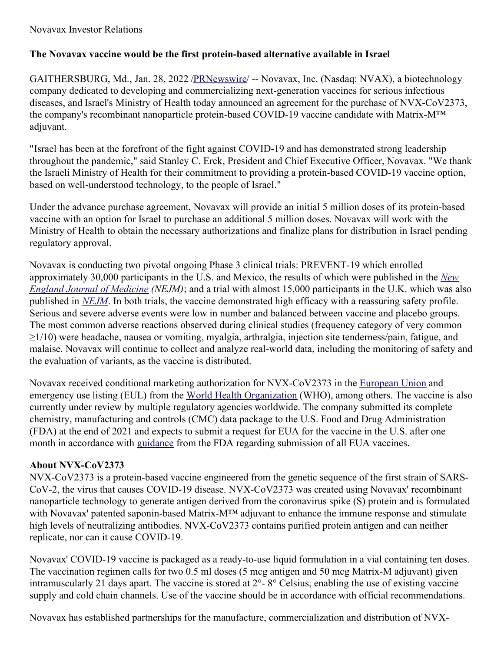#### Novavax Investor Relations

# **The Novavax vaccine would be the first protein-based alternative available in Israel**

GAITHERSBURG, Md., Jan. 28, 2022 [/PRNewswire](http://www.prnewswire.com/)/ -- Novavax, Inc. (Nasdaq: NVAX), a biotechnology company dedicated to developing and commercializing next-generation vaccines for serious infectious diseases, and Israel's Ministry of Health today announced an agreement for the purchase of NVX-CoV2373, the company's recombinant nanoparticle protein-based COVID-19 vaccine candidate with Matrix-M™ adjuvant.

"Israel has been at the forefront of the fight against COVID-19 and has demonstrated strong leadership throughout the pandemic," said Stanley C. Erck, President and Chief Executive Officer, Novavax. "We thank the Israeli Ministry of Health for their commitment to providing a protein-based COVID-19 vaccine option, based on well-understood technology, to the people of Israel."

Under the advance purchase agreement, Novavax will provide an initial 5 million doses of its protein-based vaccine with an option for Israel to purchase an additional 5 million doses. Novavax will work with the Ministry of Health to obtain the necessary authorizations and finalize plans for distribution in Israel pending regulatory approval.

Novavax is conducting two pivotal ongoing Phase 3 clinical trials: PREVENT-19 which enrolled [approximately](https://c212.net/c/link/?t=0&l=en&o=3425721-1&h=1468825727&u=https%3A%2F%2Fwww.nejm.org%2Fdoi%2Ffull%2F10.1056%2FNEJMoa2116185%3Fquery%3Dfeatured_home&a=New+England+Journal+of+Medicine) 30,000 participants in the U.S. and Mexico, the results of which were published in the *New England Journal of Medicine (NEJM)*; and a trial with almost 15,000 participants in the U.K. which was also published in *[NEJM](https://c212.net/c/link/?t=0&l=en&o=3425721-1&h=2616686137&u=https%3A%2F%2Fwww.nejm.org%2Fdoi%2Ffull%2F10.1056%2FNEJMoa2107659&a=NEJM)*. In both trials, the vaccine demonstrated high efficacy with a reassuring safety profile. Serious and severe adverse events were low in number and balanced between vaccine and placebo groups. The most common adverse reactions observed during clinical studies (frequency category of very common ≥1/10) were headache, nausea or vomiting, myalgia, arthralgia, injection site tenderness/pain, fatigue, and malaise. Novavax will continue to collect and analyze real-world data, including the monitoring of safety and the evaluation of variants, as the vaccine is distributed.

Novavax received conditional marketing authorization for NVX-CoV2373 in the [European](https://c212.net/c/link/?t=0&l=en&o=3425721-1&h=2488037643&u=https%3A%2F%2Fc212.net%2Fc%2Flink%2F%3Ft%3D0%26l%3Den%26o%3D3418278-1%26h%3D4293825725%26u%3Dhttps%253A%252F%252Fc212.net%252Fc%252Flink%252F%253Ft%253D0%2526l%253Den%2526o%253D3397167-1%2526h%253D2118831841%2526u%253Dhttps%25253A%25252F%25252Fir.novavax.com%25252F2021-12-20-European-Commission-Grants-Conditional-Marketing-Authorization-for-Novavax-COVID-19-Vaccine%2526a%253Dconditional%252Bmarketing%252Bauthorization%26a%3DEuropean%2BUnion&a=European+Union) Union and emergency use listing (EUL) from the World Health [Organization](https://c212.net/c/link/?t=0&l=en&o=3425721-1&h=4247948068&u=https%3A%2F%2Fc212.net%2Fc%2Flink%2F%3Ft%3D0%26l%3Den%26o%3D3418278-1%26h%3D3156131270%26u%3Dhttps%253A%252F%252Fir.novavax.com%252F2021-12-20-World-Health-Organization-Grants-Second-Emergency-Use-Listing-for-Novavax-COVID-19-Vaccine%26a%3DWorld%2BHealth%2BOrganization&a=World+Health+Organization) (WHO), among others. The vaccine is also currently under review by multiple regulatory agencies worldwide. The company submitted its complete chemistry, manufacturing and controls (CMC) data package to the U.S. Food and Drug Administration (FDA) at the end of 2021 and expects to submit a request for EUA for the vaccine in the U.S. after one month in accordance with [guidance](https://c212.net/c/link/?t=0&l=en&o=3425721-1&h=681615644&u=https%3A%2F%2Fc212.net%2Fc%2Flink%2F%3Ft%3D0%26l%3Den%26o%3D3418278-1%26h%3D433303435%26u%3Dhttps%253A%252F%252Fwww.fda.gov%252Fmedia%252F142749%252Fdownload%26a%3Dguidance&a=guidance) from the FDA regarding submission of all EUA vaccines.

# **About NVX-CoV2373**

NVX-CoV2373 is a protein-based vaccine engineered from the genetic sequence of the first strain of SARS-CoV-2, the virus that causes COVID-19 disease. NVX-CoV2373 was created using Novavax' recombinant nanoparticle technology to generate antigen derived from the coronavirus spike (S) protein and is formulated with Novavax' patented saponin-based Matrix-M™ adjuvant to enhance the immune response and stimulate high levels of neutralizing antibodies. NVX-CoV2373 contains purified protein antigen and can neither replicate, nor can it cause COVID-19.

Novavax' COVID-19 vaccine is packaged as a ready-to-use liquid formulation in a vial containing ten doses. The vaccination regimen calls for two 0.5 ml doses (5 mcg antigen and 50 mcg Matrix-M adjuvant) given intramuscularly 21 days apart. The vaccine is stored at 2°- 8° Celsius, enabling the use of existing vaccine supply and cold chain channels. Use of the vaccine should be in accordance with official recommendations.

Novavax has established partnerships for the manufacture, commercialization and distribution of NVX-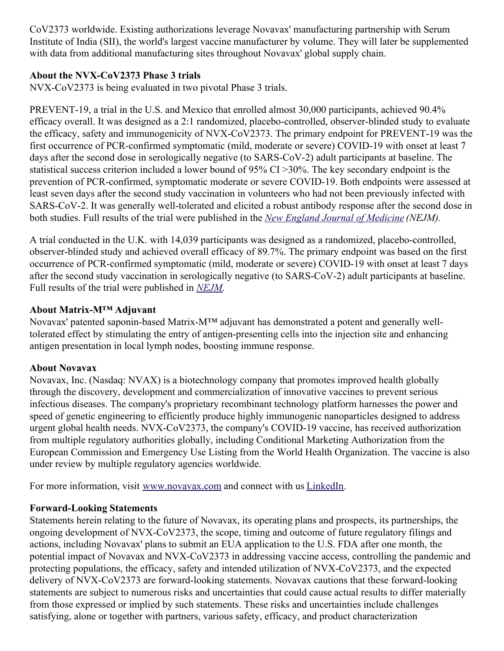CoV2373 worldwide. Existing authorizations leverage Novavax' manufacturing partnership with Serum Institute of India (SII), the world's largest vaccine manufacturer by volume. They will later be supplemented with data from additional manufacturing sites throughout Novavax' global supply chain.

#### **About the NVX-CoV2373 Phase 3 trials**

NVX-CoV2373 is being evaluated in two pivotal Phase 3 trials.

PREVENT-19, a trial in the U.S. and Mexico that enrolled almost 30,000 participants, achieved 90.4% efficacy overall. It was designed as a 2:1 randomized, placebo-controlled, observer-blinded study to evaluate the efficacy, safety and immunogenicity of NVX-CoV2373. The primary endpoint for PREVENT-19 was the first occurrence of PCR-confirmed symptomatic (mild, moderate or severe) COVID-19 with onset at least 7 days after the second dose in serologically negative (to SARS-CoV-2) adult participants at baseline. The statistical success criterion included a lower bound of 95% CI >30%. The key secondary endpoint is the prevention of PCR-confirmed, symptomatic moderate or severe COVID-19. Both endpoints were assessed at least seven days after the second study vaccination in volunteers who had not been previously infected with SARS-CoV-2. It was generally well-tolerated and elicited a robust antibody response after the second dose in both studies. Full results of the trial were published in the *New England Journal of [Medicine](https://c212.net/c/link/?t=0&l=en&o=3425721-1&h=1468825727&u=https%3A%2F%2Fwww.nejm.org%2Fdoi%2Ffull%2F10.1056%2FNEJMoa2116185%3Fquery%3Dfeatured_home&a=New+England+Journal+of+Medicine) (NEJM).*

A trial conducted in the U.K. with 14,039 participants was designed as a randomized, placebo-controlled, observer-blinded study and achieved overall efficacy of 89.7%. The primary endpoint was based on the first occurrence of PCR-confirmed symptomatic (mild, moderate or severe) COVID-19 with onset at least 7 days after the second study vaccination in serologically negative (to SARS-CoV-2) adult participants at baseline. Full results of the trial were published in *[NEJM](https://c212.net/c/link/?t=0&l=en&o=3425721-1&h=2616686137&u=https%3A%2F%2Fwww.nejm.org%2Fdoi%2Ffull%2F10.1056%2FNEJMoa2107659&a=NEJM).*

# **About Matrix-M™ Adjuvant**

Novavax' patented saponin-based Matrix-M™ adjuvant has demonstrated a potent and generally welltolerated effect by stimulating the entry of antigen-presenting cells into the injection site and enhancing antigen presentation in local lymph nodes, boosting immune response.

#### **About Novavax**

Novavax, Inc. (Nasdaq: NVAX) is a biotechnology company that promotes improved health globally through the discovery, development and commercialization of innovative vaccines to prevent serious infectious diseases. The company's proprietary recombinant technology platform harnesses the power and speed of genetic engineering to efficiently produce highly immunogenic nanoparticles designed to address urgent global health needs. NVX-CoV2373, the company's COVID-19 vaccine, has received authorization from multiple regulatory authorities globally, including Conditional Marketing Authorization from the European Commission and Emergency Use Listing from the World Health Organization. The vaccine is also under review by multiple regulatory agencies worldwide.

For more information, visit [www.novavax.com](https://c212.net/c/link/?t=0&l=en&o=3425721-1&h=1328944201&u=http%3A%2F%2Fwww.novavax.com%2F&a=www.novavax.com) and connect with us [LinkedIn](https://c212.net/c/link/?t=0&l=en&o=3425721-1&h=1749870132&u=https%3A%2F%2Fwww.linkedin.com%2Fcompany%2Fnovavax%2F&a=LinkedIn).

# **Forward-Looking Statements**

Statements herein relating to the future of Novavax, its operating plans and prospects, its partnerships, the ongoing development of NVX-CoV2373, the scope, timing and outcome of future regulatory filings and actions, including Novavax' plans to submit an EUA application to the U.S. FDA after one month, the potential impact of Novavax and NVX-CoV2373 in addressing vaccine access, controlling the pandemic and protecting populations, the efficacy, safety and intended utilization of NVX-CoV2373, and the expected delivery of NVX-CoV2373 are forward-looking statements. Novavax cautions that these forward-looking statements are subject to numerous risks and uncertainties that could cause actual results to differ materially from those expressed or implied by such statements. These risks and uncertainties include challenges satisfying, alone or together with partners, various safety, efficacy, and product characterization